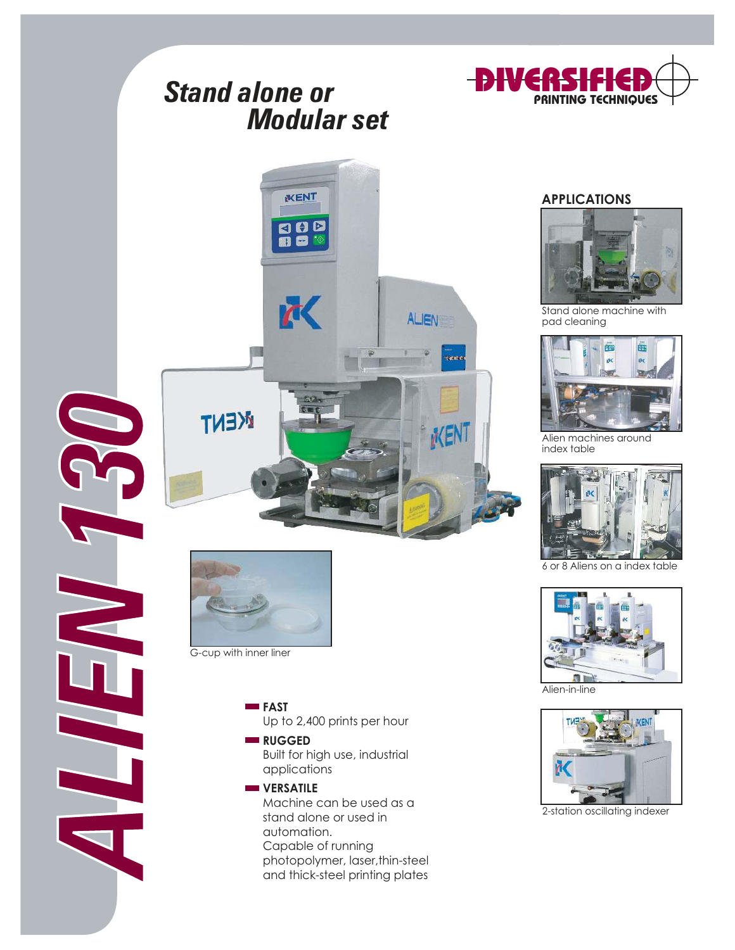# Stand alone or Modular set







G-cup with inner liner

**FAST** Up to 2,400 prints per hour

#### **RUGGED**

Built for high use, industrial applications

### **VERSATILE**

Machine can be used as a stand alone or used in automation. Capable of running photopolymer, laser,thin-steel and thick-steel printing plates

#### **APPLICATIONS**



Stand alone machine with pad cleaning



Alien machines around index table



6 or 8 Aliens on a index table



Alien-in-line



2-station oscillating indexer